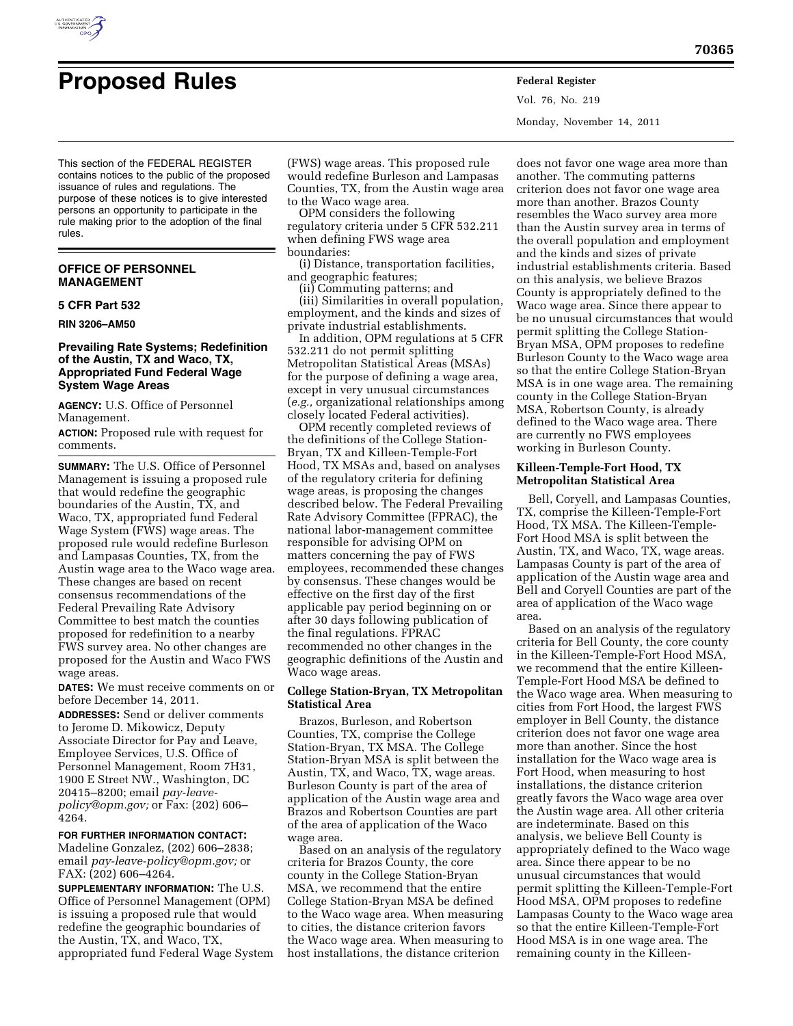

Vol. 76, No. 219 Monday, November 14, 2011

This section of the FEDERAL REGISTER contains notices to the public of the proposed issuance of rules and regulations. The purpose of these notices is to give interested persons an opportunity to participate in the rule making prior to the adoption of the final rules.

## **OFFICE OF PERSONNEL MANAGEMENT**

#### **5 CFR Part 532**

**RIN 3206–AM50** 

## **Prevailing Rate Systems; Redefinition of the Austin, TX and Waco, TX, Appropriated Fund Federal Wage System Wage Areas**

**AGENCY:** U.S. Office of Personnel Management.

**ACTION:** Proposed rule with request for comments.

**SUMMARY:** The U.S. Office of Personnel Management is issuing a proposed rule that would redefine the geographic boundaries of the Austin, TX, and Waco, TX, appropriated fund Federal Wage System (FWS) wage areas. The proposed rule would redefine Burleson and Lampasas Counties, TX, from the Austin wage area to the Waco wage area. These changes are based on recent consensus recommendations of the Federal Prevailing Rate Advisory Committee to best match the counties proposed for redefinition to a nearby FWS survey area. No other changes are proposed for the Austin and Waco FWS wage areas.

**DATES:** We must receive comments on or before December 14, 2011.

**ADDRESSES:** Send or deliver comments to Jerome D. Mikowicz, Deputy Associate Director for Pay and Leave, Employee Services, U.S. Office of Personnel Management, Room 7H31, 1900 E Street NW., Washington, DC 20415–8200; email *[pay-leave](mailto:pay-leave-policy@opm.gov)[policy@opm.gov;](mailto:pay-leave-policy@opm.gov)* or Fax: (202) 606– 4264.

**FOR FURTHER INFORMATION CONTACT:**  Madeline Gonzalez, (202) 606–2838; email *[pay-leave-policy@opm.gov;](mailto:pay-leave-policy@opm.gov)* or FAX: (202) 606–4264.

**SUPPLEMENTARY INFORMATION:** The U.S. Office of Personnel Management (OPM) is issuing a proposed rule that would redefine the geographic boundaries of the Austin, TX, and Waco, TX, appropriated fund Federal Wage System

(FWS) wage areas. This proposed rule would redefine Burleson and Lampasas Counties, TX, from the Austin wage area to the Waco wage area.

OPM considers the following regulatory criteria under 5 CFR 532.211 when defining FWS wage area boundaries:

(i) Distance, transportation facilities, and geographic features;

(ii) Commuting patterns; and (iii) Similarities in overall population, employment, and the kinds and sizes of private industrial establishments.

In addition, OPM regulations at 5 CFR 532.211 do not permit splitting Metropolitan Statistical Areas (MSAs) for the purpose of defining a wage area, except in very unusual circumstances (*e.g.,* organizational relationships among closely located Federal activities).

OPM recently completed reviews of the definitions of the College Station-Bryan, TX and Killeen-Temple-Fort Hood, TX MSAs and, based on analyses of the regulatory criteria for defining wage areas, is proposing the changes described below. The Federal Prevailing Rate Advisory Committee (FPRAC), the national labor-management committee responsible for advising OPM on matters concerning the pay of FWS employees, recommended these changes by consensus. These changes would be effective on the first day of the first applicable pay period beginning on or after 30 days following publication of the final regulations. FPRAC recommended no other changes in the geographic definitions of the Austin and Waco wage areas.

#### **College Station-Bryan, TX Metropolitan Statistical Area**

Brazos, Burleson, and Robertson Counties, TX, comprise the College Station-Bryan, TX MSA. The College Station-Bryan MSA is split between the Austin, TX, and Waco, TX, wage areas. Burleson County is part of the area of application of the Austin wage area and Brazos and Robertson Counties are part of the area of application of the Waco wage area.

Based on an analysis of the regulatory criteria for Brazos County, the core county in the College Station-Bryan MSA, we recommend that the entire College Station-Bryan MSA be defined to the Waco wage area. When measuring to cities, the distance criterion favors the Waco wage area. When measuring to host installations, the distance criterion

does not favor one wage area more than another. The commuting patterns criterion does not favor one wage area more than another. Brazos County resembles the Waco survey area more than the Austin survey area in terms of the overall population and employment and the kinds and sizes of private industrial establishments criteria. Based on this analysis, we believe Brazos County is appropriately defined to the Waco wage area. Since there appear to be no unusual circumstances that would permit splitting the College Station-Bryan MSA, OPM proposes to redefine Burleson County to the Waco wage area so that the entire College Station-Bryan MSA is in one wage area. The remaining county in the College Station-Bryan MSA, Robertson County, is already defined to the Waco wage area. There are currently no FWS employees working in Burleson County.

### **Killeen-Temple-Fort Hood, TX Metropolitan Statistical Area**

Bell, Coryell, and Lampasas Counties, TX, comprise the Killeen-Temple-Fort Hood, TX MSA. The Killeen-Temple-Fort Hood MSA is split between the Austin, TX, and Waco, TX, wage areas. Lampasas County is part of the area of application of the Austin wage area and Bell and Coryell Counties are part of the area of application of the Waco wage area.

Based on an analysis of the regulatory criteria for Bell County, the core county in the Killeen-Temple-Fort Hood MSA, we recommend that the entire Killeen-Temple-Fort Hood MSA be defined to the Waco wage area. When measuring to cities from Fort Hood, the largest FWS employer in Bell County, the distance criterion does not favor one wage area more than another. Since the host installation for the Waco wage area is Fort Hood, when measuring to host installations, the distance criterion greatly favors the Waco wage area over the Austin wage area. All other criteria are indeterminate. Based on this analysis, we believe Bell County is appropriately defined to the Waco wage area. Since there appear to be no unusual circumstances that would permit splitting the Killeen-Temple-Fort Hood MSA, OPM proposes to redefine Lampasas County to the Waco wage area so that the entire Killeen-Temple-Fort Hood MSA is in one wage area. The remaining county in the Killeen